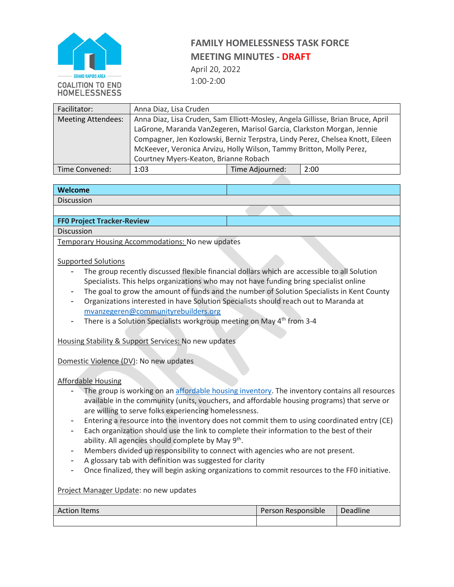

# **FAMILY HOMELESSNESS TASK FORCE MEETING MINUTES - DRAFT**

April 20, 2022 1:00-2:00

| Facilitator:              | Anna Diaz, Lisa Cruden                                                          |                 |      |  |  |
|---------------------------|---------------------------------------------------------------------------------|-----------------|------|--|--|
| <b>Meeting Attendees:</b> | Anna Diaz, Lisa Cruden, Sam Elliott-Mosley, Angela Gillisse, Brian Bruce, April |                 |      |  |  |
|                           | LaGrone, Maranda VanZegeren, Marisol Garcia, Clarkston Morgan, Jennie           |                 |      |  |  |
|                           | Compagner, Jen Kozlowski, Berniz Terpstra, Lindy Perez, Chelsea Knott, Eileen   |                 |      |  |  |
|                           | McKeever, Veronica Arvizu, Holly Wilson, Tammy Britton, Molly Perez,            |                 |      |  |  |
|                           | Courtney Myers-Keaton, Brianne Robach                                           |                 |      |  |  |
| Time Convened:            | 1:03                                                                            | Time Adjourned: | 2:00 |  |  |

#### **Welcome**

Discussion

### **FF0 Project Tracker-Review**

Discussion

Temporary Housing Accommodations: No new updates

#### Supported Solutions

- The group recently discussed flexible financial dollars which are accessible to all Solution Specialists. This helps organizations who may not have funding bring specialist online
- The goal to grow the amount of funds and the number of Solution Specialists in Kent County
- Organizations interested in have Solution Specialists should reach out to Maranda at [mvanzegeren@communityrebuilders.org](mailto:mvanzegeren@communityrebuilders.org)
- There is a Solution Specialists workgroup meeting on May 4<sup>th</sup> from 3-4

Housing Stability & Support Services: No new updates

Domestic Violence (DV): No new updates

Affordable Housing

- The group is working on an [affordable housing inventory.](https://communityrebuilders-my.sharepoint.com/:x:/g/personal/smosley_communityrebuilders_org/EZw2iq1EN8JIlAA9a76Q7VEB9K4BEZDx1QeoLZETjEy_SQ?e=v2Kul5) The inventory contains all resources available in the community (units, vouchers, and affordable housing programs) that serve or are willing to serve folks experiencing homelessness.
- Entering a resource into the inventory does not commit them to using coordinated entry (CE)
- Each organization should use the link to complete their information to the best of their ability. All agencies should complete by May 9<sup>th</sup>.
- Members divided up responsibility to connect with agencies who are not present.
- A glossary tab with definition was suggested for clarity
- Once finalized, they will begin asking organizations to commit resources to the FF0 initiative.

Project Manager Update: no new updates

| <b>Action Items</b> | Person Responsible | <b>Deadline</b> |
|---------------------|--------------------|-----------------|
|                     |                    |                 |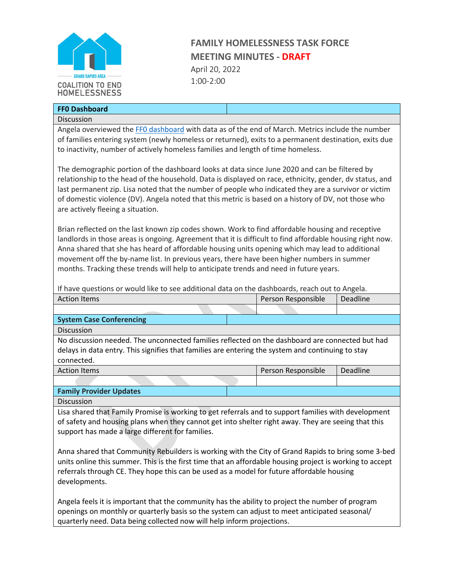

# **FAMILY HOMELESSNESS TASK FORCE MEETING MINUTES - DRAFT** April 20, 2022

1:00-2:00

| <b>FFO Dashboard</b> |  |
|----------------------|--|
| Discussion           |  |

Angela overviewed the FFO dashboard with data as of the end of March. Metrics include the number of families entering system (newly homeless or returned), exits to a permanent destination, exits due to inactivity, number of actively homeless families and length of time homeless.

The demographic portion of the dashboard looks at data since June 2020 and can be filtered by relationship to the head of the household. Data is displayed on race, ethnicity, gender, dv status, and last permanent zip. Lisa noted that the number of people who indicated they are a survivor or victim of domestic violence (DV). Angela noted that this metric is based on a history of DV, not those who are actively fleeing a situation.

Brian reflected on the last known zip codes shown. Work to find affordable housing and receptive landlords in those areas is ongoing. Agreement that it is difficult to find affordable housing right now. Anna shared that she has heard of affordable housing units opening which may lead to additional movement off the by-name list. In previous years, there have been higher numbers in summer months. Tracking these trends will help to anticipate trends and need in future years.

If have questions or would like to see additional data on the dashboards, reach out to Angela.

| <b>Action Items</b>             |  | Person Responsible | Deadline |
|---------------------------------|--|--------------------|----------|
|                                 |  |                    |          |
| <b>System Case Conferencing</b> |  |                    |          |
| <b>Diccursion</b>               |  |                    |          |

Discussion

No discussion needed. The unconnected families reflected on the dashboard are connected but had delays in data entry. This signifies that families are entering the system and continuing to stay connected.

Action Items Person Responsible Deadline

### **Family Provider Updates**

Discussion

Lisa shared that Family Promise is working to get referrals and to support families with development of safety and housing plans when they cannot get into shelter right away. They are seeing that this support has made a large different for families.

Anna shared that Community Rebuilders is working with the City of Grand Rapids to bring some 3-bed units online this summer. This is the first time that an affordable housing project is working to accept referrals through CE. They hope this can be used as a model for future affordable housing developments.

Angela feels it is important that the community has the ability to project the number of program openings on monthly or quarterly basis so the system can adjust to meet anticipated seasonal/ quarterly need. Data being collected now will help inform projections.